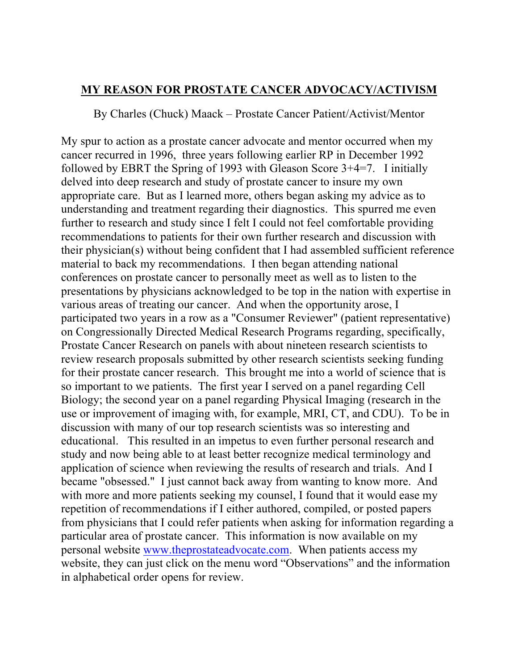## **MY REASON FOR PROSTATE CANCER ADVOCACY/ACTIVISM**

By Charles (Chuck) Maack – Prostate Cancer Patient/Activist/Mentor

My spur to action as a prostate cancer advocate and mentor occurred when my cancer recurred in 1996, three years following earlier RP in December 1992 followed by EBRT the Spring of 1993 with Gleason Score 3+4=7. I initially delved into deep research and study of prostate cancer to insure my own appropriate care. But as I learned more, others began asking my advice as to understanding and treatment regarding their diagnostics. This spurred me even further to research and study since I felt I could not feel comfortable providing recommendations to patients for their own further research and discussion with their physician(s) without being confident that I had assembled sufficient reference material to back my recommendations. I then began attending national conferences on prostate cancer to personally meet as well as to listen to the presentations by physicians acknowledged to be top in the nation with expertise in various areas of treating our cancer. And when the opportunity arose, I participated two years in a row as a "Consumer Reviewer" (patient representative) on Congressionally Directed Medical Research Programs regarding, specifically, Prostate Cancer Research on panels with about nineteen research scientists to review research proposals submitted by other research scientists seeking funding for their prostate cancer research. This brought me into a world of science that is so important to we patients. The first year I served on a panel regarding Cell Biology; the second year on a panel regarding Physical Imaging (research in the use or improvement of imaging with, for example, MRI, CT, and CDU). To be in discussion with many of our top research scientists was so interesting and educational. This resulted in an impetus to even further personal research and study and now being able to at least better recognize medical terminology and application of science when reviewing the results of research and trials. And I became "obsessed." I just cannot back away from wanting to know more. And with more and more patients seeking my counsel. I found that it would ease my repetition of recommendations if I either authored, compiled, or posted papers from physicians that I could refer patients when asking for information regarding a particular area of prostate cancer. This information is now available on my personal website www.theprostateadvocate.com. When patients access my website, they can just click on the menu word "Observations" and the information in alphabetical order opens for review.